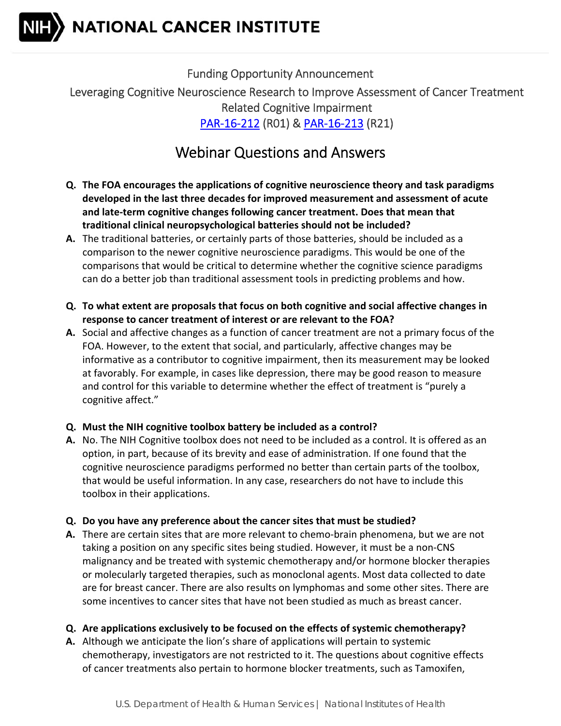NATIONAL CANCER INSTITUTE

 Funding Opportunity Announcement Leveraging Cognitive Neuroscience Research to Improve Assessment of Cancer Treatment Related Cognitive Impairment PAR‐16‐212 (R01) & PAR‐16‐213 (R21)

# Webinar Questions and Answers

- Q. The FOA encourages the applications of cognitive neuroscience theory and task paradigms  **developed in the last three decades for improved measurement and assessment of acute and late‐term cognitive changes following cancer treatment. Does that mean that traditional clinical neuropsychological batteries should not be included?**
- **A.** The traditional batteries, or certainly parts of those batteries, should be included as a comparison to the newer cognitive neuroscience paradigms. This would be one of the comparisons that would be critical to determine whether the cognitive science paradigms can do a better job than traditional assessment tools in predicting problems and how.
- Q. To what extent are proposals that focus on both cognitive and social affective changes in  **response to cancer treatment of interest or are relevant to the FOA?**
- **A.** Social and affective changes as a function of cancer treatment are not a primary focus of the FOA. However, to the extent that social, and particularly, affective changes may be informative as a contributor to cognitive impairment, then its measurement may be looked at favorably. For example, in cases like depression, there may be good reason to measure and control for this variable to determine whether the effect of treatment is "purely a cognitive affect."

## **Q. Must the NIH cognitive toolbox battery be included as a control?**

- A. No. The NIH Cognitive toolbox does not need to be included as a control. It is offered as an option, in part, because of its brevity and ease of administration. If one found that the cognitive neuroscience paradigms performed no better than certain parts of the toolbox, that would be useful information. In any case, researchers do not have to include this toolbox in their applications.
- **Q. Do you have any preference about the cancer sites that must be studied?**
- **A.** There are certain sites that are more relevant to chemo‐brain phenomena, but we are not taking a position on any specific sites being studied. However, it must be a non‐CNS malignancy and be treated with systemic chemotherapy and/or hormone blocker therapies or molecularly targeted therapies, such as monoclonal agents. Most data collected to date are for breast cancer. There are also results on lymphomas and some other sites. There are some incentives to cancer sites that have not been studied as much as breast cancer.

### **Q. Are applications exclusively to be focused on the effects of systemic chemotherapy?**

 **A.** Although we anticipate the lion's share of applications will pertain to systemic chemotherapy, investigators are not restricted to it. The questions about cognitive effects of cancer treatments also pertain to hormone blocker treatments, such as Tamoxifen,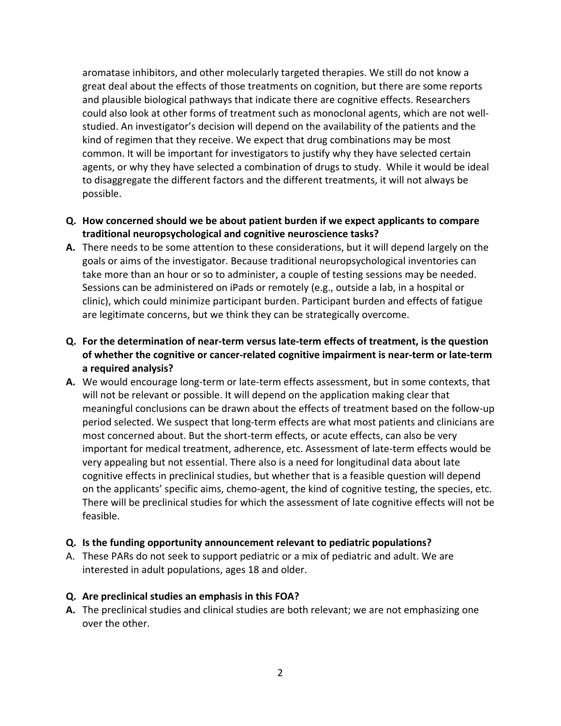aromatase inhibitors, and other molecularly targeted therapies. We still do not know a great deal about the effects of those treatments on cognition, but there are some reports and plausible biological pathways that indicate there are cognitive effects. Researchers could also look at other forms of treatment such as monoclonal agents, which are not well‐ studied. An investigator's decision will depend on the availability of the patients and the kind of regimen that they receive. We expect that drug combinations may be most common. It will be important for investigators to justify why they have selected certain agents, or why they have selected a combination of drugs to study. While it would be ideal to disaggregate the different factors and the different treatments, it will not always be possible.

- Q. How concerned should we be about patient burden if we expect applicants to compare  **traditional neuropsychological and cognitive neuroscience tasks?**
- **A.** There needs to be some attention to these considerations, but it will depend largely on the goals or aims of the investigator. Because traditional neuropsychological inventories can take more than an hour or so to administer, a couple of testing sessions may be needed. Sessions can be administered on iPads or remotely (e.g., outside a lab, in a hospital or clinic), which could minimize participant burden. Participant burden and effects of fatigue are legitimate concerns, but we think they can be strategically overcome.
- Q. For the determination of near-term versus late-term effects of treatment, is the question of whether the cognitive or cancer-related cognitive impairment is near-term or late-term  **a required analysis?**
- A. We would encourage long-term or late-term effects assessment, but in some contexts, that will not be relevant or possible. It will depend on the application making clear that meaningful conclusions can be drawn about the effects of treatment based on the follow‐up period selected. We suspect that long‐term effects are what most patients and clinicians are most concerned about. But the short‐term effects, or acute effects, can also be very important for medical treatment, adherence, etc. Assessment of late‐term effects would be very appealing but not essential. There also is a need for longitudinal data about late cognitive effects in preclinical studies, but whether that is a feasible question will depend on the applicants' specific aims, chemo‐agent, the kind of cognitive testing, the species, etc. There will be preclinical studies for which the assessment of late cognitive effects will not be feasible.

#### **Q. Is the funding opportunity announcement relevant to pediatric populations?**

A. These PARs do not seek to support pediatric or a mix of pediatric and adult. We are interested in adult populations, ages 18 and older.

#### **Q. Are preclinical studies an emphasis in this FOA?**

A. The preclinical studies and clinical studies are both relevant; we are not emphasizing one over the other.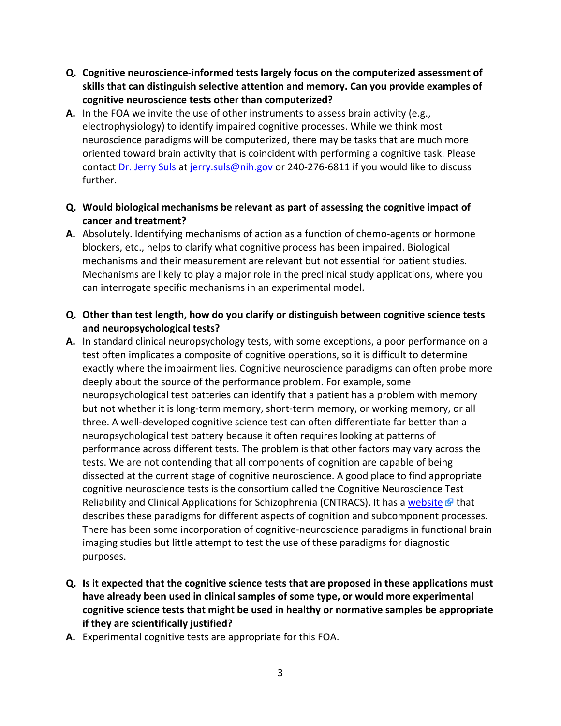- **Q. Cognitive neuroscience‐informed tests largely focus on the computerized assessment of skills that can distinguish selective attention and memory. Can you provide examples of cognitive neuroscience tests other than computerized?**
- A. In the FOA we invite the use of other instruments to assess brain activity (e.g., electrophysiology) to identify impaired cognitive processes. While we think most neuroscience paradigms will be computerized, there may be tasks that are much more oriented toward brain activity that is coincident with performing a cognitive task. Please contact Dr. Jerry Suls at jerry.suls@nih.gov or 240-276-6811 if you would like to discuss further.
- Q. Would biological mechanisms be relevant as part of assessing the cognitive impact of  **cancer and treatment?**
- **A.** Absolutely. Identifying mechanisms of action as a function of chemo‐agents or hormone blockers, etc., helps to clarify what cognitive process has been impaired. Biological mechanisms and their measurement are relevant but not essential for patient studies. Mechanisms are likely to play a major role in the preclinical study applications, where you can interrogate specific mechanisms in an experimental model.
- Q. Other than test length, how do you clarify or distinguish between cognitive science tests  **and neuropsychological tests?**
- A. In standard clinical neuropsychology tests, with some exceptions, a poor performance on a test often implicates a composite of cognitive operations, so it is difficult to determine exactly where the impairment lies. Cognitive neuroscience paradigms can often probe more deeply about the source of the performance problem. For example, some neuropsychological test batteries can identify that a patient has a problem with memory but not whether it is long‐term memory, short‐term memory, or working memory, or all three. A well‐developed cognitive science test can often differentiate far better than a neuropsychological test battery because it often requires looking at patterns of performance across different tests. The problem is that other factors may vary across the tests. We are not contending that all components of cognition are capable of being dissected at the current stage of cognitive neuroscience. A good place to find appropriate cognitive neuroscience tests is the consortium called the Cognitive Neuroscience Test Reliability and Clinical Applications for Schizophrenia (CNTRACS). It has a website & that describes these paradigms for different aspects of cognition and subcomponent processes. There has been some incorporation of cognitive‐neuroscience paradigms in functional brain imaging studies but little attempt to test the use of these paradigms for diagnostic purposes.
- Q. Is it expected that the cognitive science tests that are proposed in these applications must  **have already been used in clinical samples of some type, or would more experimental cognitive science tests that might be used in healthy or normative samples be appropriate if they are scientifically justified?**
- **A.** Experimental cognitive tests are appropriate for this FOA.